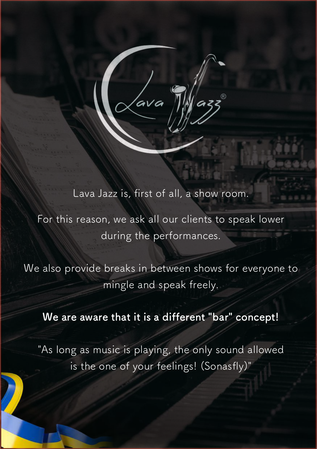Lava Jazz is, first of all, a show room.

For this reason, we ask all our clients to speak lower during the performances.

We also provide breaks in between shows for everyone to mingle and speak freely.

#### **We are aware that it is a different "bar" concept!**

"As long as music is playing, the only sound allowed is the one of your feelings! (Sonasfly)"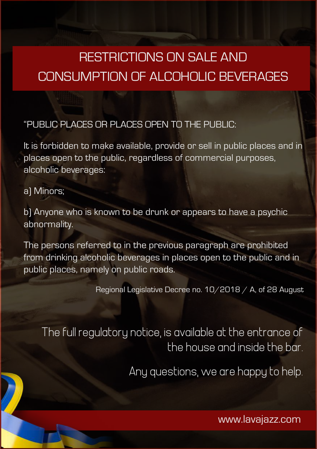# RESTRICTIONS ON SALE AND CONSUMPTION OF ALCOHOLIC BEVERAGES

#### "PUBLIC PLACES OR PLACES OPEN TO THE PUBLIC:

It is forbidden to make available, provide or sell in public places and in places open to the public, regardless of commercial purposes, alcoholic beverages:

a) Minors;

b) Anyone who is known to be drunk or appears to have a psychic abnormality.

The persons referred to in the previous paragraph are prohibited from drinking alcoholic beverages in places open to the public and in public places, namely on public roads.

Regional Legislative Decree no. 10/2018 / A, of 28 August

The full regulatory notice, is available at the entrance of the house and inside the bar.

Any questions, we are happy to help.

www.lavajazz.com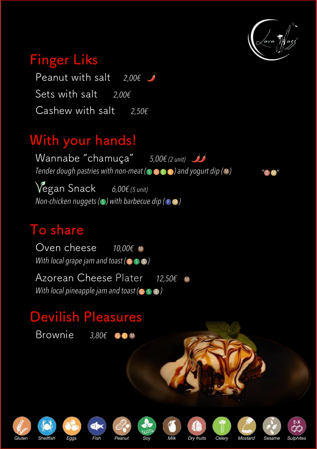

*" "*

D M

### **Finger Liks**

Peanut with salt *2,00€* Sets with salt *2,00€* Cashew with salt *2,50€*

# **With your hands!**

Tender dough pastries with non-meat ( **s c c c** ) and yogurt dip ( **M** ) *Non-chicken nuggets (S) with barbecue dip (*  $\bm{\cdot}$   $\bm{\cdot}$  **)** Wannabe "chamuça" *5,00€ (2 unit)* Vegan Snack *6,00€ (5 unit)*

### **To share**

 $10.00 \text{E}$  M *With local grape jam and toast (*  $\circ$   $\circ$   $\circ$  *)* Oven cheese

*With local pineapple jam and toast (*  $\bullet$   $\bullet$   $\bullet$  *)* M Azorean Cheese Plater *12,50€*

# **Devilish Pleasures**

Brownie 3,80€ GEM





















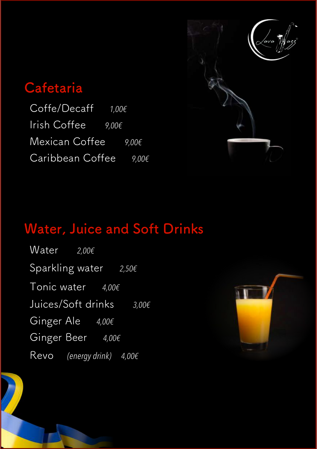

### **Cafetaria**

Coffe/Decaff *1,00€* Irish Coffee *9,00€* Mexican Coffee *9,00€* Caribbean Coffee *9,00€*

# **Water, Juice and Soft Drinks**

Water *2,00€* Sparkling water *2,50€* Tonic water *4,00€* Juices/Soft drinks *3,00€* Ginger Ale *4,00€* Ginger Beer *4,00€* Revo *(energy drink) 4,00€*

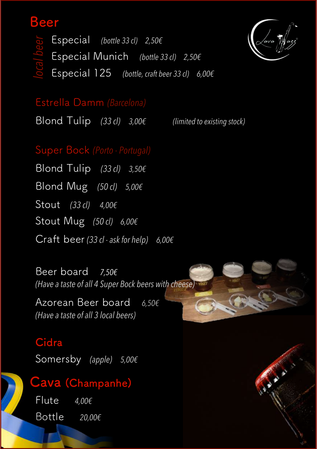### **Beer**

 Especial *(bottle 33 cl) 2,50€* Especial Munich *(bottle 33 cl) 2,50€* Especial 125 *(bottle, craft beer 33 cl) 6,00€*



Estrella Damm *(Barcelona)*

Blond Tulip *(33 cl) 3,00€ (limited to existing stock)* 

### Super Bock *(Porto - Portugal)*

Blond Tulip *(33 cl) 3,50€* Blond Mug *(50 cl) 5,00€* Stout *(33 cl) 4,00€* Stout Mug *(50 cl) 6,00€* Craft beer *(33 cl - ask for help) 6,00€* Especial *(bottle 33)*<br>
Especial Munich<br>
Estrella Damm *(Barcele Blond Tulip (33d) 3*<br>
Super Bock *(Potto - Port Blond Tulip (33d) 3*<br>
Blond Tulip *(33d) 3*<br>
Blond Mug *(50d) 5,0*<br>
Stout *(33d) 4,006*<br>
Stout *Mug (50d) 6,0* 

Beer board *7,50€ (Have a taste of all 4 Super Bock beers with cheese)*

Azorean Beer board *6,50€ (Have a taste of all 3 local beers)* 

#### **Cidra**

Somersby *(apple) 5,00€*

Flute *4,00€* Bottle *20,00€*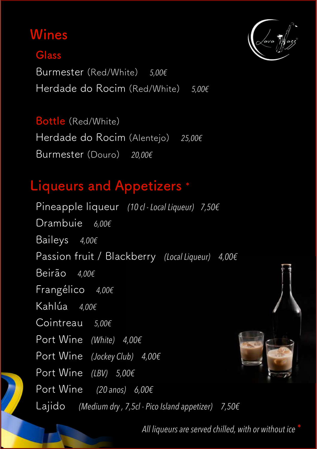# **Wines**

### **Glass**

Burmester (Red/White) *5,00€* Herdade do Rocim (Red/White) *5,00€*

### **Bottle** (Red/White)

Herdade do Rocim (Alentejo) *25,00€* Burmester (Douro) *20,00€*

# **Liqueurs and Appetizers \***

Pineapple liqueur *(10 cl - Local Liqueur) 7,50€* Drambuie *6,00€* Baileys *4,00€* Passion fruit / Blackberry *(Local Liqueur) 4,00€* Beirão *4,00€* Frangélico *4,00€* Kahlúa *4,00€* Cointreau *5,00€* Port Wine *(White) 4,00€* Port Wine *(Jockey Club) 4,00€* Port Wine *(LBV) 5,00€* Port Wine *(20 anos) 6,00€* Lajido *(Medium dry , 7,5cl - Pico Island appetizer) 7,50€*



All liqueurs are served chilled, with or without ice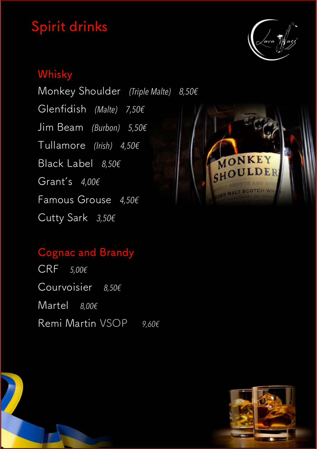# **Spirit drinks**



### **Whisky**

Monkey Shoulder *(Triple Malte) 8,50€* Glenfidish *(Malte) 7,50€* Jim Beam *(Burbon) 5,50€* Tullamore *(Irish) 4,50€* Black Label *8,50€* Grant's *4,00€* Famous Grouse *4,50€* Cutty Sark *3,50€*



### **Cognac and Brandy**

CRF *5,00€* Courvoisier *8,50€* Martel *8,00€* Remi Martin VSOP *9,60€*

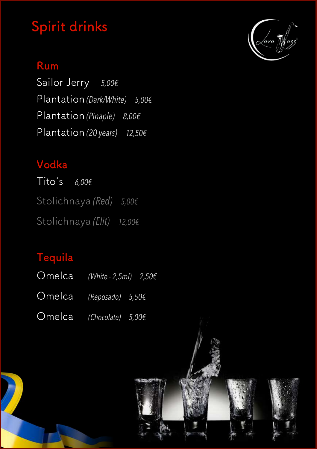# **Spirit drinks**

### **Rum**

Sailor Jerry *5,00€* Plantation *(Dark/White) 5,00€* Plantation *(Pinaple) 8,00€* Plantation *(20 years) 12,50€*

### **Vodka**

Tito's *6,00€* Stolichnaya *(Red) 5,00€* Stolichnaya *(Elit) 12,00€*

### **Tequila**

| Omelca (White - 2,5ml) $2,50 \in$ |  |  |
|-----------------------------------|--|--|
| Omelca (Reposado) $5,50$ €        |  |  |
| Omelca (Chocolate) $5,00 \in$     |  |  |



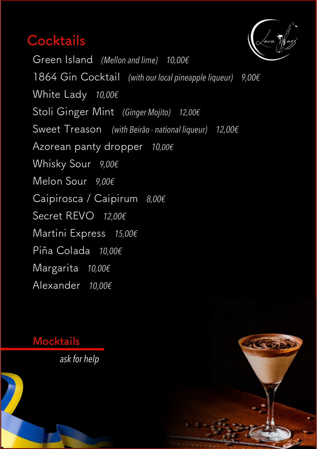### **Cocktails**



Green Island *(Mellon and lime) 10,00€* 1864 Gin Cocktail *(with our local pineapple liqueur) 9,00€* White Lady *10,00€* Stoli Ginger Mint *(Ginger Mojito) 12,00€* Sweet Treason *(with Beirão - national liqueur) 12,00€* Azorean panty dropper *10,00€* Whisky Sour *9,00€* Melon Sour *9,00€* Caipirosca / Caipirum *8,00€* Secret REVO *12,00€* Martini Express *15,00€* Piña Colada *10,00€* Margarita *10,00€* Alexander *10,00€*

#### **Mocktails**

*ask for help*